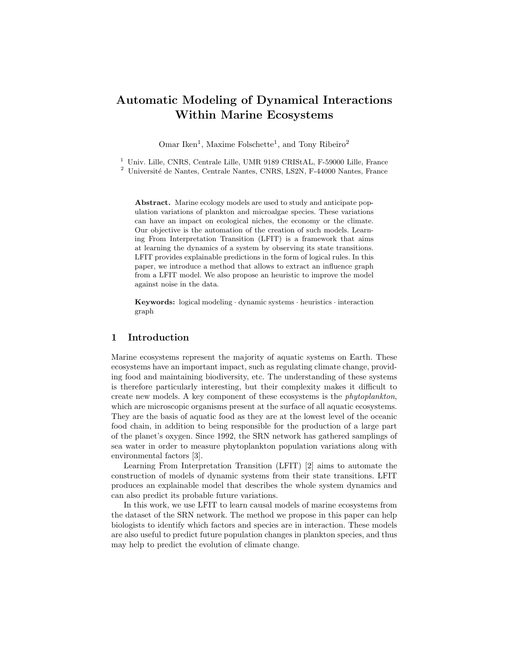# Automatic Modeling of Dynamical Interactions Within Marine Ecosystems

Omar Iken<sup>1</sup>, Maxime Folschette<sup>1</sup>, and Tony Ribeiro<sup>2</sup>

<sup>1</sup> Univ. Lille, CNRS, Centrale Lille, UMR 9189 CRIStAL, F-59000 Lille, France

 $^2$ Université de Nantes, Centrale Nantes, CNRS, LS2N, F-44000 Nantes, France

Abstract. Marine ecology models are used to study and anticipate population variations of plankton and microalgae species. These variations can have an impact on ecological niches, the economy or the climate. Our objective is the automation of the creation of such models. Learning From Interpretation Transition (LFIT) is a framework that aims at learning the dynamics of a system by observing its state transitions. LFIT provides explainable predictions in the form of logical rules. In this paper, we introduce a method that allows to extract an influence graph from a LFIT model. We also propose an heuristic to improve the model against noise in the data.

Keywords: logical modeling  $\cdot$  dynamic systems  $\cdot$  heuristics  $\cdot$  interaction graph

#### 1 Introduction

Marine ecosystems represent the majority of aquatic systems on Earth. These ecosystems have an important impact, such as regulating climate change, providing food and maintaining biodiversity, etc. The understanding of these systems is therefore particularly interesting, but their complexity makes it difficult to create new models. A key component of these ecosystems is the phytoplankton, which are microscopic organisms present at the surface of all aquatic ecosystems. They are the basis of aquatic food as they are at the lowest level of the oceanic food chain, in addition to being responsible for the production of a large part of the planet's oxygen. Since 1992, the SRN network has gathered samplings of sea water in order to measure phytoplankton population variations along with environmental factors [\[3\]](#page-3-0).

Learning From Interpretation Transition (LFIT) [\[2\]](#page-3-1) aims to automate the construction of models of dynamic systems from their state transitions. LFIT produces an explainable model that describes the whole system dynamics and can also predict its probable future variations.

In this work, we use LFIT to learn causal models of marine ecosystems from the dataset of the SRN network. The method we propose in this paper can help biologists to identify which factors and species are in interaction. These models are also useful to predict future population changes in plankton species, and thus may help to predict the evolution of climate change.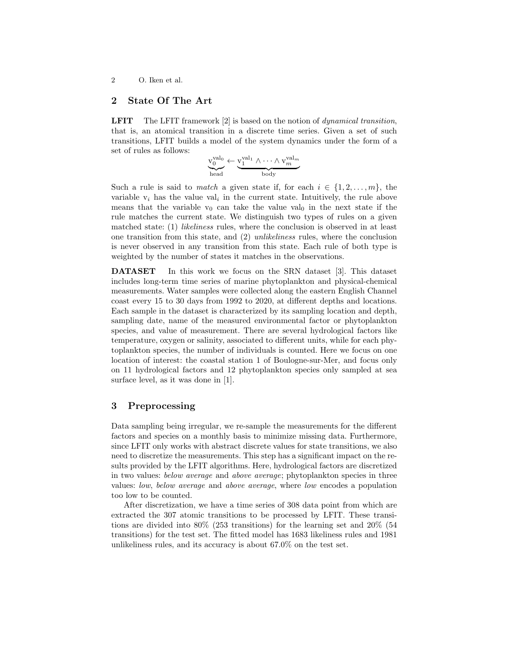#### 2 O. Iken et al.

# 2 State Of The Art

LFIT The LFIT framework [\[2\]](#page-3-1) is based on the notion of *dynamical transition*, that is, an atomical transition in a discrete time series. Given a set of such transitions, LFIT builds a model of the system dynamics under the form of a set of rules as follows:

$$
\underbrace{v_0^{val_0}}_\text{head} \leftarrow \underbrace{v_1^{val_1} \wedge \cdots \wedge v_m^{val_m}}_\text{body}
$$

Such a rule is said to *match* a given state if, for each  $i \in \{1, 2, \ldots, m\}$ , the variable  $v_i$  has the value val<sub>i</sub> in the current state. Intuitively, the rule above means that the variable  $v_0$  can take the value val<sub>0</sub> in the next state if the rule matches the current state. We distinguish two types of rules on a given matched state: (1) *likeliness* rules, where the conclusion is observed in at least one transition from this state, and (2) unlikeliness rules, where the conclusion is never observed in any transition from this state. Each rule of both type is weighted by the number of states it matches in the observations.

DATASET In this work we focus on the SRN dataset [\[3\]](#page-3-0). This dataset includes long-term time series of marine phytoplankton and physical-chemical measurements. Water samples were collected along the eastern English Channel coast every 15 to 30 days from 1992 to 2020, at different depths and locations. Each sample in the dataset is characterized by its sampling location and depth, sampling date, name of the measured environmental factor or phytoplankton species, and value of measurement. There are several hydrological factors like temperature, oxygen or salinity, associated to different units, while for each phytoplankton species, the number of individuals is counted. Here we focus on one location of interest: the coastal station 1 of Boulogne-sur-Mer, and focus only on 11 hydrological factors and 12 phytoplankton species only sampled at sea surface level, as it was done in [\[1\]](#page-3-2).

# 3 Preprocessing

Data sampling being irregular, we re-sample the measurements for the different factors and species on a monthly basis to minimize missing data. Furthermore, since LFIT only works with abstract discrete values for state transitions, we also need to discretize the measurements. This step has a significant impact on the results provided by the LFIT algorithms. Here, hydrological factors are discretized in two values: below average and above average; phytoplankton species in three values: low, below average and above average, where low encodes a population too low to be counted.

After discretization, we have a time series of 308 data point from which are extracted the 307 atomic transitions to be processed by LFIT. These transitions are divided into 80% (253 transitions) for the learning set and 20% (54 transitions) for the test set. The fitted model has 1683 likeliness rules and 1981 unlikeliness rules, and its accuracy is about 67.0% on the test set.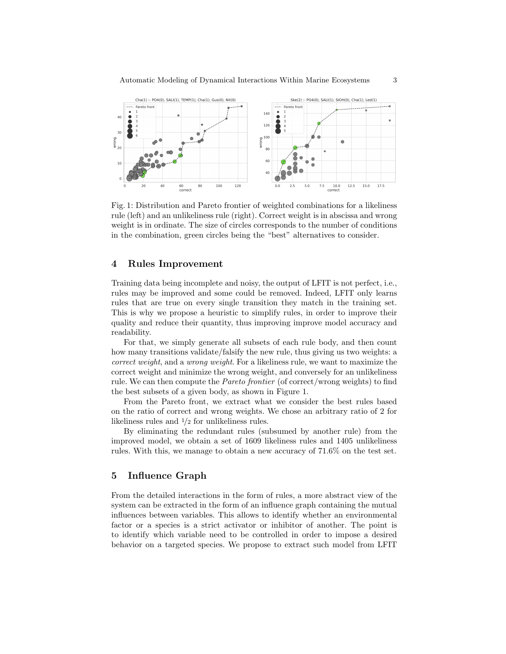<span id="page-2-0"></span>

Fig. 1: Distribution and Pareto frontier of weighted combinations for a likeliness rule (left) and an unlikeliness rule (right). Correct weight is in abscissa and wrong weight is in ordinate. The size of circles corresponds to the number of conditions in the combination, green circles being the "best" alternatives to consider.

# 4 Rules Improvement

Training data being incomplete and noisy, the output of LFIT is not perfect, i.e., rules may be improved and some could be removed. Indeed, LFIT only learns rules that are true on every single transition they match in the training set. This is why we propose a heuristic to simplify rules, in order to improve their quality and reduce their quantity, thus improving improve model accuracy and readability.

For that, we simply generate all subsets of each rule body, and then count how many transitions validate/falsify the new rule, thus giving us two weights: a correct weight, and a wrong weight. For a likeliness rule, we want to maximize the correct weight and minimize the wrong weight, and conversely for an unlikeliness rule. We can then compute the Pareto frontier (of correct/wrong weights) to find the best subsets of a given body, as shown in Figure [1.](#page-2-0)

From the Pareto front, we extract what we consider the best rules based on the ratio of correct and wrong weights. We chose an arbitrary ratio of 2 for likeliness rules and 1/2 for unlikeliness rules.

By eliminating the redundant rules (subsumed by another rule) from the improved model, we obtain a set of 1609 likeliness rules and 1405 unlikeliness rules. With this, we manage to obtain a new accuracy of 71.6% on the test set.

# 5 Influence Graph

From the detailed interactions in the form of rules, a more abstract view of the system can be extracted in the form of an influence graph containing the mutual influences between variables. This allows to identify whether an environmental factor or a species is a strict activator or inhibitor of another. The point is to identify which variable need to be controlled in order to impose a desired behavior on a targeted species. We propose to extract such model from LFIT